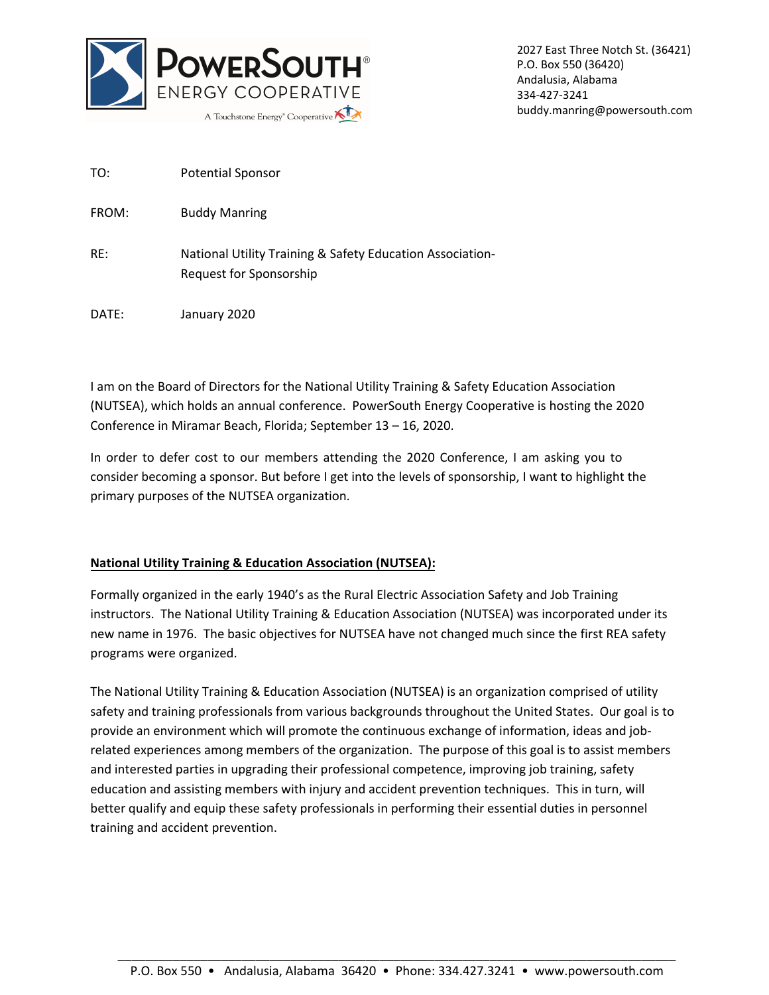

2027 East Three Notch St. (36421) P.O. Box 550 (36420) Andalusia, Alabama 334-427-3241 buddy.manring@powersouth.com

| <b>Potential Sponsor</b> |
|--------------------------|
|                          |

FROM: Buddy Manring

- RE: National Utility Training & Safety Education Association-Request for Sponsorship
- DATE: January 2020

I am on the Board of Directors for the National Utility Training & Safety Education Association (NUTSEA), which holds an annual conference. PowerSouth Energy Cooperative is hosting the 2020 Conference in Miramar Beach, Florida; September 13 – 16, 2020.

In order to defer cost to our members attending the 2020 Conference, I am asking you to consider becoming a sponsor. But before I get into the levels of sponsorship, I want to highlight the primary purposes of the NUTSEA organization.

## **National Utility Training & Education Association (NUTSEA):**

Formally organized in the early 1940's as the Rural Electric Association Safety and Job Training instructors. The National Utility Training & Education Association (NUTSEA) was incorporated under its new name in 1976. The basic objectives for NUTSEA have not changed much since the first REA safety programs were organized.

The National Utility Training & Education Association (NUTSEA) is an organization comprised of utility safety and training professionals from various backgrounds throughout the United States. Our goal is to provide an environment which will promote the continuous exchange of information, ideas and jobrelated experiences among members of the organization. The purpose of this goal is to assist members and interested parties in upgrading their professional competence, improving job training, safety education and assisting members with injury and accident prevention techniques. This in turn, will better qualify and equip these safety professionals in performing their essential duties in personnel training and accident prevention.